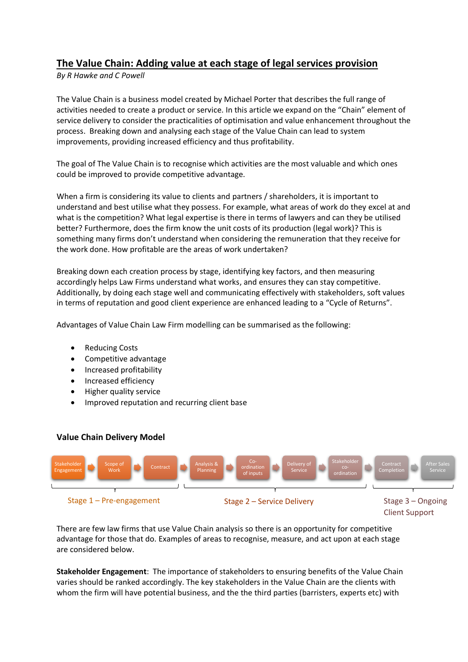## **The Value Chain: Adding value at each stage of legal services provision**

## *By R Hawke and C Powell*

The Value Chain is a business model created by Michael Porter that describes the full range of activities needed to create a product or service. In this article we expand on the "Chain" element of service delivery to consider the practicalities of optimisation and value enhancement throughout the process. Breaking down and analysing each stage of the Value Chain can lead to system improvements, providing increased efficiency and thus profitability.

The goal of The Value Chain is to recognise which activities are the most valuable and which ones could be improved to provide competitive advantage.

When a firm is considering its value to clients and partners / shareholders, it is important to understand and best utilise what they possess. For example, what areas of work do they excel at and what is the competition? What legal expertise is there in terms of lawyers and can they be utilised better? Furthermore, does the firm know the unit costs of its production (legal work)? This is something many firms don't understand when considering the remuneration that they receive for the work done. How profitable are the areas of work undertaken?

Breaking down each creation process by stage, identifying key factors, and then measuring accordingly helps Law Firms understand what works, and ensures they can stay competitive. Additionally, by doing each stage well and communicating effectively with stakeholders, soft values in terms of reputation and good client experience are enhanced leading to a "Cycle of Returns".

Advantages of Value Chain Law Firm modelling can be summarised as the following:

- Reducing Costs
- Competitive advantage
- Increased profitability
- Increased efficiency
- Higher quality service
- Improved reputation and recurring client base

## **Value Chain Delivery Model**



There are few law firms that use Value Chain analysis so there is an opportunity for competitive advantage for those that do. Examples of areas to recognise, measure, and act upon at each stage are considered below.

**Stakeholder Engagement**: The importance of stakeholders to ensuring benefits of the Value Chain varies should be ranked accordingly. The key stakeholders in the Value Chain are the clients with whom the firm will have potential business, and the the third parties (barristers, experts etc) with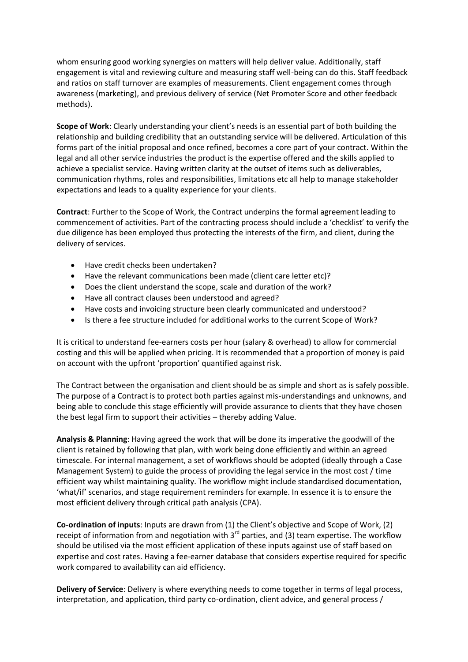whom ensuring good working synergies on matters will help deliver value. Additionally, staff engagement is vital and reviewing culture and measuring staff well-being can do this. Staff feedback and ratios on staff turnover are examples of measurements. Client engagement comes through awareness (marketing), and previous delivery of service (Net Promoter Score and other feedback methods).

**Scope of Work**: Clearly understanding your client's needs is an essential part of both building the relationship and building credibility that an outstanding service will be delivered. Articulation of this forms part of the initial proposal and once refined, becomes a core part of your contract. Within the legal and all other service industries the product is the expertise offered and the skills applied to achieve a specialist service. Having written clarity at the outset of items such as deliverables, communication rhythms, roles and responsibilities, limitations etc all help to manage stakeholder expectations and leads to a quality experience for your clients.

**Contract**: Further to the Scope of Work, the Contract underpins the formal agreement leading to commencement of activities. Part of the contracting process should include a 'checklist' to verify the due diligence has been employed thus protecting the interests of the firm, and client, during the delivery of services.

- Have credit checks been undertaken?
- Have the relevant communications been made (client care letter etc)?
- Does the client understand the scope, scale and duration of the work?
- Have all contract clauses been understood and agreed?
- Have costs and invoicing structure been clearly communicated and understood?
- Is there a fee structure included for additional works to the current Scope of Work?

It is critical to understand fee-earners costs per hour (salary & overhead) to allow for commercial costing and this will be applied when pricing. It is recommended that a proportion of money is paid on account with the upfront 'proportion' quantified against risk.

The Contract between the organisation and client should be as simple and short as is safely possible. The purpose of a Contract is to protect both parties against mis-understandings and unknowns, and being able to conclude this stage efficiently will provide assurance to clients that they have chosen the best legal firm to support their activities – thereby adding Value.

**Analysis & Planning**: Having agreed the work that will be done its imperative the goodwill of the client is retained by following that plan, with work being done efficiently and within an agreed timescale. For internal management, a set of workflows should be adopted (ideally through a Case Management System) to guide the process of providing the legal service in the most cost / time efficient way whilst maintaining quality. The workflow might include standardised documentation, 'what/if' scenarios, and stage requirement reminders for example. In essence it is to ensure the most efficient delivery through critical path analysis (CPA).

**Co-ordination of inputs**: Inputs are drawn from (1) the Client's objective and Scope of Work, (2) receipt of information from and negotiation with  $3<sup>rd</sup>$  parties, and (3) team expertise. The workflow should be utilised via the most efficient application of these inputs against use of staff based on expertise and cost rates. Having a fee-earner database that considers expertise required for specific work compared to availability can aid efficiency.

**Delivery of Service**: Delivery is where everything needs to come together in terms of legal process, interpretation, and application, third party co-ordination, client advice, and general process /